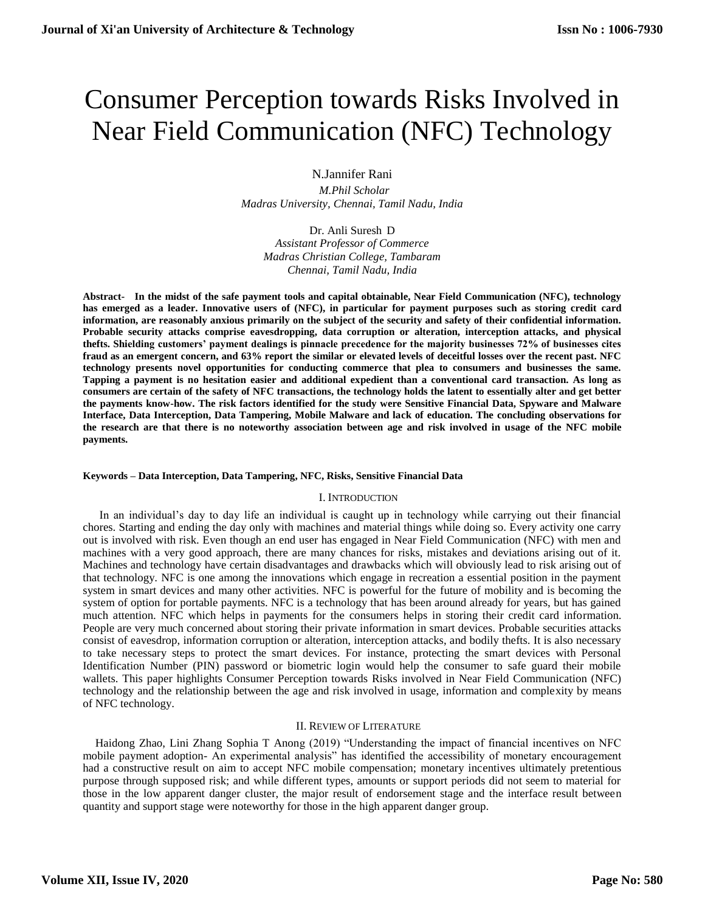# Consumer Perception towards Risks Involved in Near Field Communication (NFC) Technology

N.Jannifer Rani

 *M.Phil Scholar Madras University, Chennai, Tamil Nadu, India*

Dr. Anli Suresh D *Assistant Professor of Commerce Madras Christian College, Tambaram Chennai, Tamil Nadu, India*

**Abstract- In the midst of the safe payment tools and capital obtainable, Near Field Communication (NFC), technology has emerged as a leader. Innovative users of (NFC), in particular for payment purposes such as storing credit card information, are reasonably anxious primarily on the subject of the security and safety of their confidential information. Probable security attacks comprise eavesdropping, data corruption or alteration, interception attacks, and physical thefts. Shielding customers' payment dealings is pinnacle precedence for the majority businesses 72% of businesses cites fraud as an emergent concern, and 63% report the similar or elevated levels of deceitful losses over the recent past. NFC technology presents novel opportunities for conducting commerce that plea to consumers and businesses the same. Tapping a payment is no hesitation easier and additional expedient than a conventional card transaction. As long as consumers are certain of the safety of NFC transactions, the technology holds the latent to essentially alter and get better the payments know-how. The risk factors identified for the study were Sensitive Financial Data, Spyware and Malware Interface, Data Interception, Data Tampering, Mobile Malware and lack of education. The concluding observations for the research are that there is no noteworthy association between age and risk involved in usage of the NFC mobile payments.**

# **Keywords – Data Interception, Data Tampering, NFC, Risks, Sensitive Financial Data**

# I. INTRODUCTION

In an individual's day to day life an individual is caught up in technology while carrying out their financial chores. Starting and ending the day only with machines and material things while doing so. Every activity one carry out is involved with risk. Even though an end user has engaged in Near Field Communication (NFC) with men and machines with a very good approach, there are many chances for risks, mistakes and deviations arising out of it. Machines and technology have certain disadvantages and drawbacks which will obviously lead to risk arising out of that technology. NFC is one among the innovations which engage in recreation a essential position in the payment system in smart devices and many other activities. NFC is powerful for the future of mobility and is becoming the system of option for portable payments. NFC is a technology that has been around already for years, but has gained much attention. NFC which helps in payments for the consumers helps in storing their credit card information. People are very much concerned about storing their private information in smart devices. Probable securities attacks consist of eavesdrop, information corruption or alteration, interception attacks, and bodily thefts. It is also necessary to take necessary steps to protect the smart devices. For instance, protecting the smart devices with Personal Identification Number (PIN) password or biometric login would help the consumer to safe guard their mobile wallets. This paper highlights Consumer Perception towards Risks involved in Near Field Communication (NFC) technology and the relationship between the age and risk involved in usage, information and complexity by means of NFC technology.

# II. REVIEW OF LITERATURE

Haidong Zhao, Lini Zhang Sophia T Anong (2019) "Understanding the impact of financial incentives on NFC mobile payment adoption- An experimental analysis" has identified the accessibility of monetary encouragement had a constructive result on aim to accept NFC mobile compensation; monetary incentives ultimately pretentious purpose through supposed risk; and while different types, amounts or support periods did not seem to material for those in the low apparent danger cluster, the major result of endorsement stage and the interface result between quantity and support stage were noteworthy for those in the high apparent danger group.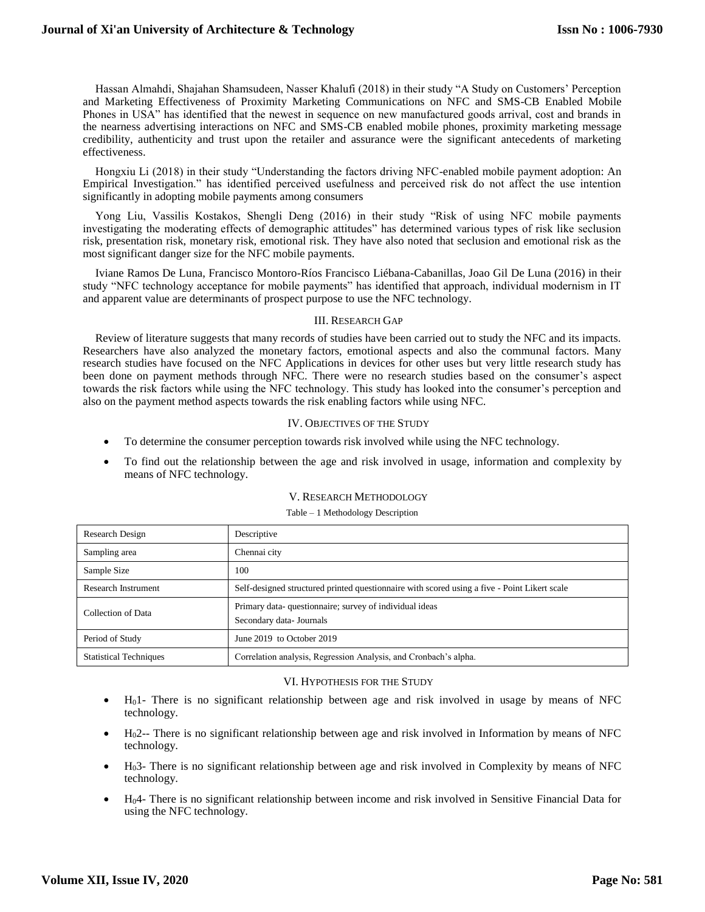# **Journal of Xi'an University of Architecture & Technology**

Hassan Almahdi, Shajahan Shamsudeen, Nasser Khalufi (2018) in their study "A Study on Customers' Perception and Marketing Effectiveness of Proximity Marketing Communications on NFC and SMS-CB Enabled Mobile Phones in USA" has identified that the newest in sequence on new manufactured goods arrival, cost and brands in the nearness advertising interactions on NFC and SMS-CB enabled mobile phones, proximity marketing message credibility, authenticity and trust upon the retailer and assurance were the significant antecedents of marketing effectiveness.

Hongxiu Li (2018) in their study "Understanding the factors driving NFC-enabled mobile payment adoption: An Empirical Investigation." has identified perceived usefulness and perceived risk do not affect the use intention significantly in adopting mobile payments among consumers

Yong Liu, Vassilis Kostakos, Shengli Deng (2016) in their study "Risk of using NFC mobile payments investigating the moderating effects of demographic attitudes" has determined various types of risk like seclusion risk, presentation risk, monetary risk, emotional risk. They have also noted that seclusion and emotional risk as the most significant danger size for the NFC mobile payments.

Iviane Ramos De Luna, Francisco Montoro-Ríos Francisco Liébana-Cabanillas, Joao Gil De Luna (2016) in their study "NFC technology acceptance for mobile payments" has identified that approach, individual modernism in IT and apparent value are determinants of prospect purpose to use the NFC technology.

# III. RESEARCH GAP

Review of literature suggests that many records of studies have been carried out to study the NFC and its impacts. Researchers have also analyzed the monetary factors, emotional aspects and also the communal factors. Many research studies have focused on the NFC Applications in devices for other uses but very little research study has been done on payment methods through NFC. There were no research studies based on the consumer's aspect towards the risk factors while using the NFC technology. This study has looked into the consumer's perception and also on the payment method aspects towards the risk enabling factors while using NFC.

# IV. OBJECTIVES OF THE STUDY

- To determine the consumer perception towards risk involved while using the NFC technology.
- To find out the relationship between the age and risk involved in usage, information and complexity by means of NFC technology.

# V. RESEARCH METHODOLOGY

Table – 1 Methodology Description

| Research Design               | Descriptive                                                                                  |
|-------------------------------|----------------------------------------------------------------------------------------------|
| Sampling area                 | Chennai city                                                                                 |
| Sample Size                   | 100                                                                                          |
| <b>Research Instrument</b>    | Self-designed structured printed questionnaire with scored using a five - Point Likert scale |
| Collection of Data            | Primary data-questionnaire; survey of individual ideas<br>Secondary data- Journals           |
| Period of Study               | June 2019 to October 2019                                                                    |
| <b>Statistical Techniques</b> | Correlation analysis, Regression Analysis, and Cronbach's alpha.                             |

# VI. HYPOTHESIS FOR THE STUDY

- H01- There is no significant relationship between age and risk involved in usage by means of NFC technology.
- H02-- There is no significant relationship between age and risk involved in Information by means of NFC technology.
- H03- There is no significant relationship between age and risk involved in Complexity by means of NFC technology.
- H04- There is no significant relationship between income and risk involved in Sensitive Financial Data for using the NFC technology.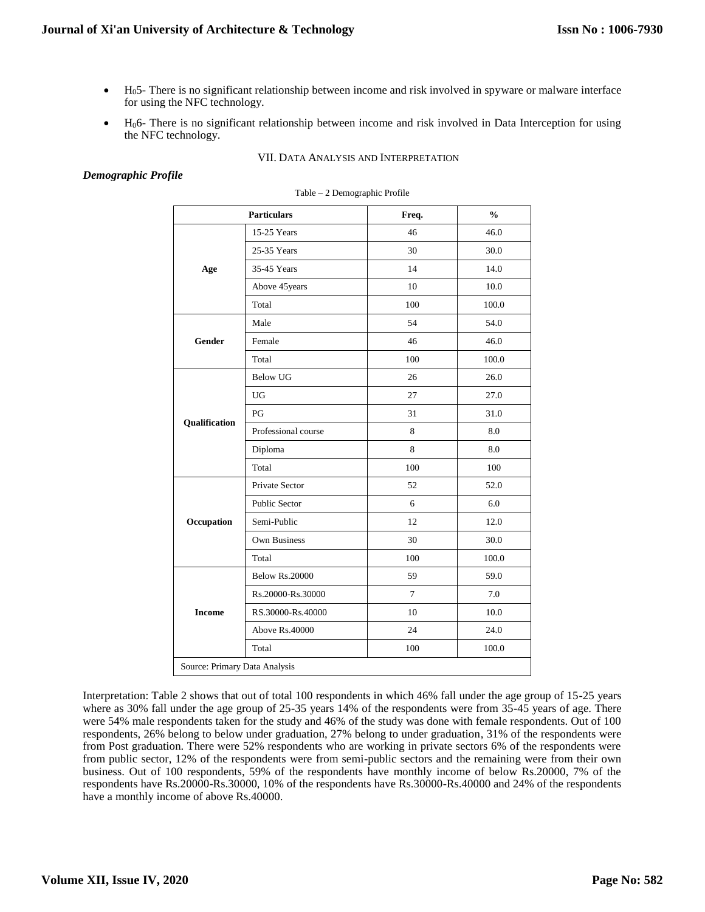- H05- There is no significant relationship between income and risk involved in spyware or malware interface for using the NFC technology.
- $\bullet$  H<sub>0</sub>6- There is no significant relationship between income and risk involved in Data Interception for using the NFC technology.

# VII. DATA ANALYSIS AND INTERPRETATION

# *Demographic Profile*

|                               | <b>Particulars</b>    | Freq.          | $\frac{0}{0}$ |  |  |  |
|-------------------------------|-----------------------|----------------|---------------|--|--|--|
|                               | 15-25 Years           | 46             | 46.0          |  |  |  |
|                               | 25-35 Years           | 30             | 30.0          |  |  |  |
| Age                           | 35-45 Years           | 14             | 14.0          |  |  |  |
|                               | Above 45 years        | 10             | 10.0          |  |  |  |
|                               | Total                 | 100            | 100.0         |  |  |  |
|                               | Male                  | 54             | 54.0          |  |  |  |
| <b>Gender</b>                 | Female                | 46             | 46.0          |  |  |  |
|                               | Total                 | 100            | 100.0         |  |  |  |
|                               | <b>Below UG</b>       | 26             | 26.0          |  |  |  |
|                               | UG                    | 27             | 27.0          |  |  |  |
|                               | PG                    | 31             | 31.0          |  |  |  |
| Qualification                 | Professional course   | 8              | 8.0           |  |  |  |
|                               | Diploma               | 8              | 8.0           |  |  |  |
|                               | Total                 | 100            | 100           |  |  |  |
|                               | Private Sector        | 52             | 52.0          |  |  |  |
|                               | <b>Public Sector</b>  | 6              | 6.0           |  |  |  |
| Occupation                    | Semi-Public           | 12             | 12.0          |  |  |  |
|                               | <b>Own Business</b>   | 30             | 30.0          |  |  |  |
|                               | Total                 | 100            | 100.0         |  |  |  |
|                               | <b>Below Rs.20000</b> | 59             | 59.0          |  |  |  |
|                               | Rs.20000-Rs.30000     | $\overline{7}$ | 7.0           |  |  |  |
| <b>Income</b>                 | RS.30000-Rs.40000     | 10             | 10.0          |  |  |  |
|                               | Above Rs.40000        | 24             | 24.0          |  |  |  |
|                               | Total                 | 100            | 100.0         |  |  |  |
| Source: Primary Data Analysis |                       |                |               |  |  |  |

#### Table – 2 Demographic Profile

Interpretation: Table 2 shows that out of total 100 respondents in which 46% fall under the age group of 15-25 years where as 30% fall under the age group of 25-35 years 14% of the respondents were from 35-45 years of age. There were 54% male respondents taken for the study and 46% of the study was done with female respondents. Out of 100 respondents, 26% belong to below under graduation, 27% belong to under graduation, 31% of the respondents were from Post graduation. There were 52% respondents who are working in private sectors 6% of the respondents were from public sector, 12% of the respondents were from semi-public sectors and the remaining were from their own business. Out of 100 respondents, 59% of the respondents have monthly income of below Rs.20000, 7% of the respondents have Rs.20000-Rs.30000, 10% of the respondents have Rs.30000-Rs.40000 and 24% of the respondents have a monthly income of above Rs.40000.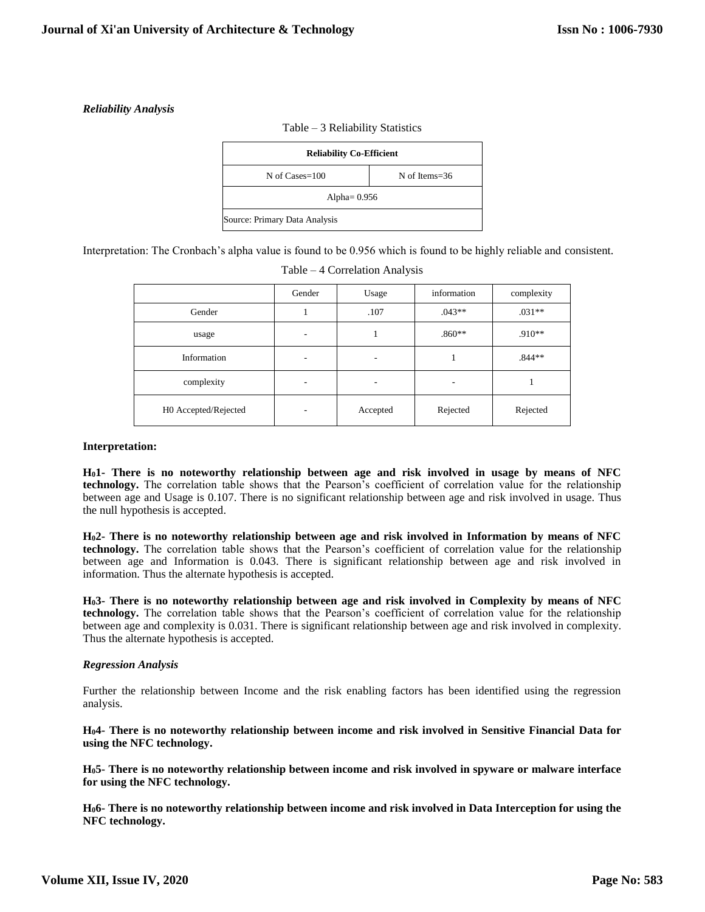# *Reliability Analysis*



Interpretation: The Cronbach's alpha value is found to be 0.956 which is found to be highly reliable and consistent.

|                      | Gender | Usage    | information | complexity |
|----------------------|--------|----------|-------------|------------|
| Gender               |        | .107     | $.043**$    | $.031**$   |
| usage                | ۰      |          | $.860**$    | $.910**$   |
| Information          | ۰      | ٠        |             | $.844**$   |
| complexity           | ۰      | ٠        | ۰           |            |
| H0 Accepted/Rejected | ٠      | Accepted | Rejected    | Rejected   |

| Table – 4 Correlation Analysis |  |
|--------------------------------|--|
|                                |  |

# **Interpretation:**

**H01- There is no noteworthy relationship between age and risk involved in usage by means of NFC technology.** The correlation table shows that the Pearson's coefficient of correlation value for the relationship between age and Usage is 0.107. There is no significant relationship between age and risk involved in usage. Thus the null hypothesis is accepted.

**H02- There is no noteworthy relationship between age and risk involved in Information by means of NFC technology.** The correlation table shows that the Pearson's coefficient of correlation value for the relationship between age and Information is 0.043. There is significant relationship between age and risk involved in information. Thus the alternate hypothesis is accepted.

**H03- There is no noteworthy relationship between age and risk involved in Complexity by means of NFC technology.** The correlation table shows that the Pearson's coefficient of correlation value for the relationship between age and complexity is 0.031. There is significant relationship between age and risk involved in complexity. Thus the alternate hypothesis is accepted.

# *Regression Analysis*

Further the relationship between Income and the risk enabling factors has been identified using the regression analysis.

**H04- There is no noteworthy relationship between income and risk involved in Sensitive Financial Data for using the NFC technology.**

**H05- There is no noteworthy relationship between income and risk involved in spyware or malware interface for using the NFC technology.**

**H06- There is no noteworthy relationship between income and risk involved in Data Interception for using the NFC technology.**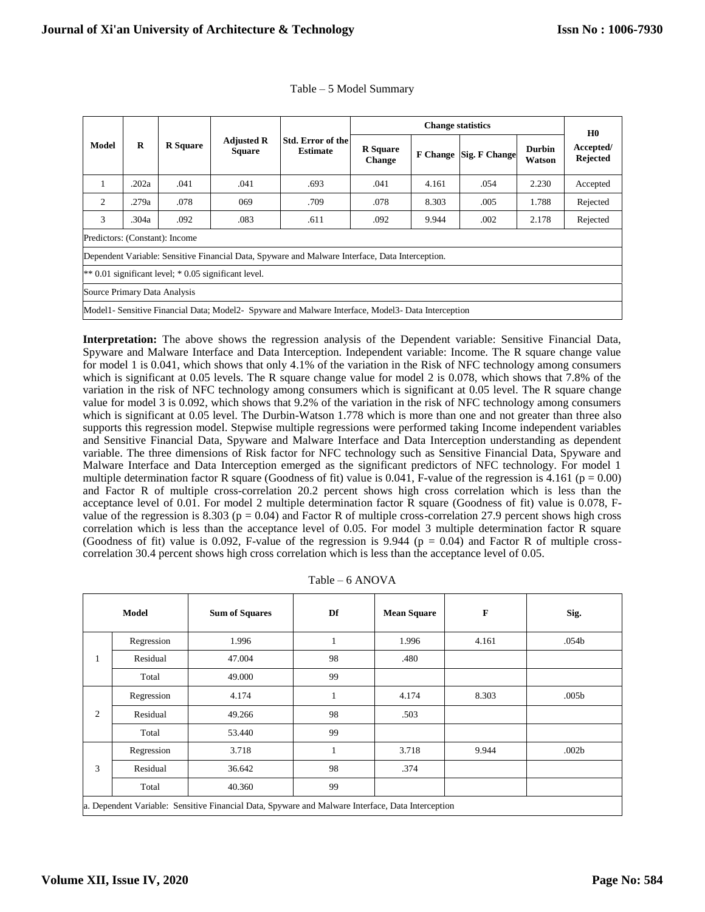|                                                                                                    |       |                 |                                    |                                      | <b>Change statistics</b>         |                 |                      |                         | H <sub>0</sub>               |
|----------------------------------------------------------------------------------------------------|-------|-----------------|------------------------------------|--------------------------------------|----------------------------------|-----------------|----------------------|-------------------------|------------------------------|
| <b>Model</b>                                                                                       | R     | <b>R</b> Square | <b>Adjusted R</b><br><b>Square</b> | Std. Error of the<br><b>Estimate</b> | <b>R</b> Square<br><b>Change</b> | <b>F</b> Change | <b>Sig. F Change</b> | <b>Durbin</b><br>Watson | Accepted/<br><b>Rejected</b> |
| 1                                                                                                  | .202a | .041            | .041                               | .693                                 | .041                             | 4.161           | .054                 | 2.230                   | Accepted                     |
| 2                                                                                                  | .279a | .078            | 069                                | .709                                 | .078                             | 8.303           | .005                 | 1.788                   | Rejected                     |
| 3                                                                                                  | .304a | .092            | .083                               | .611                                 | .092                             | 9.944           | .002                 | 2.178                   | Rejected                     |
| Predictors: (Constant): Income                                                                     |       |                 |                                    |                                      |                                  |                 |                      |                         |                              |
| Dependent Variable: Sensitive Financial Data, Spyware and Malware Interface, Data Interception.    |       |                 |                                    |                                      |                                  |                 |                      |                         |                              |
| $** 0.01$ significant level; $* 0.05$ significant level.                                           |       |                 |                                    |                                      |                                  |                 |                      |                         |                              |
| Source Primary Data Analysis                                                                       |       |                 |                                    |                                      |                                  |                 |                      |                         |                              |
| Model1- Sensitive Financial Data; Model2- Spyware and Malware Interface, Model3- Data Interception |       |                 |                                    |                                      |                                  |                 |                      |                         |                              |

|  |  |  | Table – 5 Model Summary |
|--|--|--|-------------------------|
|--|--|--|-------------------------|

**Interpretation:** The above shows the regression analysis of the Dependent variable: Sensitive Financial Data, Spyware and Malware Interface and Data Interception. Independent variable: Income. The R square change value for model 1 is 0.041, which shows that only 4.1% of the variation in the Risk of NFC technology among consumers which is significant at 0.05 levels. The R square change value for model 2 is 0.078, which shows that 7.8% of the variation in the risk of NFC technology among consumers which is significant at 0.05 level. The R square change value for model 3 is 0.092, which shows that 9.2% of the variation in the risk of NFC technology among consumers which is significant at 0.05 level. The Durbin-Watson 1.778 which is more than one and not greater than three also supports this regression model. Stepwise multiple regressions were performed taking Income independent variables and Sensitive Financial Data, Spyware and Malware Interface and Data Interception understanding as dependent variable. The three dimensions of Risk factor for NFC technology such as Sensitive Financial Data, Spyware and Malware Interface and Data Interception emerged as the significant predictors of NFC technology. For model 1 multiple determination factor R square (Goodness of fit) value is 0.041, F-value of the regression is 4.161 ( $p = 0.00$ ) and Factor R of multiple cross-correlation 20.2 percent shows high cross correlation which is less than the acceptance level of 0.01. For model 2 multiple determination factor R square (Goodness of fit) value is 0.078, Fvalue of the regression is 8.303 ( $p = 0.04$ ) and Factor R of multiple cross-correlation 27.9 percent shows high cross correlation which is less than the acceptance level of 0.05. For model 3 multiple determination factor R square (Goodness of fit) value is 0.092, F-value of the regression is 9.944 ( $p = 0.04$ ) and Factor R of multiple crosscorrelation 30.4 percent shows high cross correlation which is less than the acceptance level of 0.05.

|                | Model                                                                                             | <b>Sum of Squares</b> | Df | <b>Mean Square</b> | $\mathbf F$ | Sig.              |  |  |
|----------------|---------------------------------------------------------------------------------------------------|-----------------------|----|--------------------|-------------|-------------------|--|--|
|                | Regression                                                                                        | 1.996                 |    | 1.996              | 4.161       | .054b             |  |  |
| $\mathbf{I}$   | Residual                                                                                          | 47.004                | 98 | .480               |             |                   |  |  |
|                | Total                                                                                             | 49.000                | 99 |                    |             |                   |  |  |
| $\overline{c}$ | Regression                                                                                        | 4.174                 | л  | 4.174              | 8.303       | .005 <sub>b</sub> |  |  |
|                | Residual                                                                                          | 49.266                | 98 | .503               |             |                   |  |  |
|                | Total                                                                                             | 53.440                | 99 |                    |             |                   |  |  |
|                | Regression                                                                                        | 3.718                 |    | 3.718              | 9.944       | .002 <sub>b</sub> |  |  |
| 3              | Residual                                                                                          | 36.642                | 98 | .374               |             |                   |  |  |
|                | Total                                                                                             | 40.360                | 99 |                    |             |                   |  |  |
|                | a. Dependent Variable: Sensitive Financial Data, Spyware and Malware Interface, Data Interception |                       |    |                    |             |                   |  |  |

Table – 6 ANOVA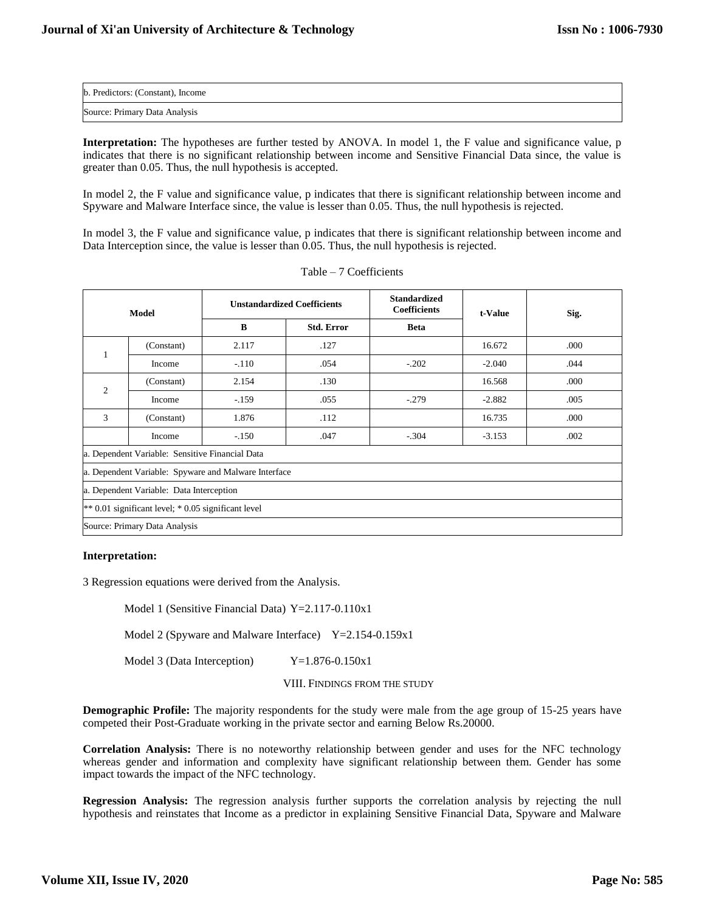| b. Predictors: (Constant), Income |  |
|-----------------------------------|--|
| Source: Primary Data Analysis     |  |

**Interpretation:** The hypotheses are further tested by ANOVA. In model 1, the F value and significance value, p indicates that there is no significant relationship between income and Sensitive Financial Data since, the value is greater than 0.05. Thus, the null hypothesis is accepted.

In model 2, the F value and significance value, p indicates that there is significant relationship between income and Spyware and Malware Interface since, the value is lesser than 0.05. Thus, the null hypothesis is rejected.

In model 3, the F value and significance value, p indicates that there is significant relationship between income and Data Interception since, the value is lesser than 0.05. Thus, the null hypothesis is rejected.

| Model                                               |                                                 | <b>Unstandardized Coefficients</b>                   |                   | <b>Standardized</b><br><b>Coefficients</b> | t-Value  | Sig. |
|-----------------------------------------------------|-------------------------------------------------|------------------------------------------------------|-------------------|--------------------------------------------|----------|------|
|                                                     |                                                 | B                                                    | <b>Std. Error</b> | <b>Beta</b>                                |          |      |
| 1                                                   | (Constant)                                      | 2.117                                                | .127              |                                            | 16.672   | .000 |
|                                                     | Income                                          | $-.110$                                              | .054              | $-.202$                                    | $-2.040$ | .044 |
| 2                                                   | (Constant)                                      | 2.154                                                | .130              |                                            | 16.568   | .000 |
|                                                     | Income                                          | $-159$                                               | .055              | $-.279$                                    | $-2.882$ | .005 |
| 3                                                   | (Constant)                                      | 1.876                                                | .112              |                                            | 16.735   | .000 |
|                                                     | Income                                          | $-.150$                                              | .047              | $-.304$                                    | $-3.153$ | .002 |
|                                                     | a. Dependent Variable: Sensitive Financial Data |                                                      |                   |                                            |          |      |
|                                                     |                                                 | a. Dependent Variable: Spyware and Malware Interface |                   |                                            |          |      |
| a. Dependent Variable: Data Interception            |                                                 |                                                      |                   |                                            |          |      |
| ** 0.01 significant level; * 0.05 significant level |                                                 |                                                      |                   |                                            |          |      |
| Source: Primary Data Analysis                       |                                                 |                                                      |                   |                                            |          |      |

# **Interpretation:**

3 Regression equations were derived from the Analysis.

Model 1 (Sensitive Financial Data) Y=2.117-0.110x1

Model 2 (Spyware and Malware Interface)  $Y=2.154-0.159x1$ 

Model 3 (Data Interception) Y=1.876-0.150x1

# VIII. FINDINGS FROM THE STUDY

**Demographic Profile:** The majority respondents for the study were male from the age group of 15-25 years have competed their Post-Graduate working in the private sector and earning Below Rs.20000.

**Correlation Analysis:** There is no noteworthy relationship between gender and uses for the NFC technology whereas gender and information and complexity have significant relationship between them. Gender has some impact towards the impact of the NFC technology.

**Regression Analysis:** The regression analysis further supports the correlation analysis by rejecting the null hypothesis and reinstates that Income as a predictor in explaining Sensitive Financial Data, Spyware and Malware